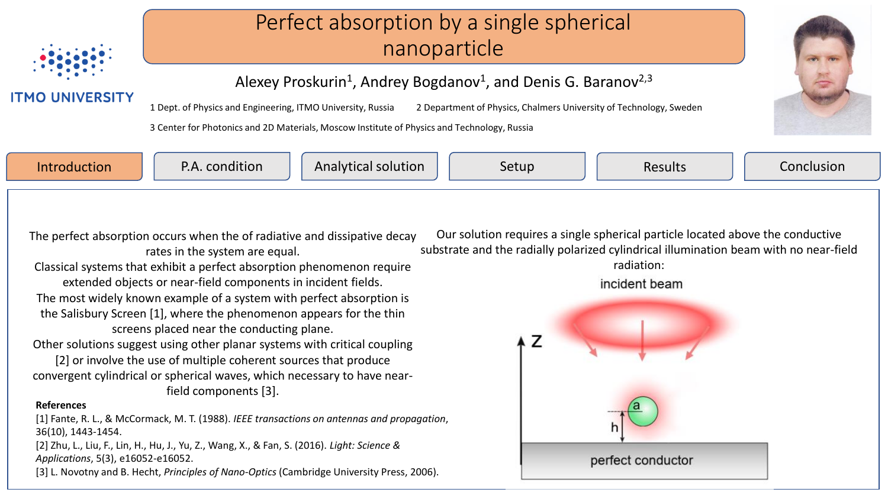

**ITMO UNIVERSITY** 

## Perfect absorption by a single spherical nanoparticle

Alexey Proskurin<sup>1</sup>, Andrey Bogdanov<sup>1</sup>, and Denis G. Baranov<sup>2,3</sup>

1 Dept. of Physics and Engineering, ITMO University, Russia 2 Department of Physics, Chalmers University of Technology, Sweden

3 Center for Photonics and 2D Materials, Moscow Institute of Physics and Technology, Russia



Introduction  $\Box$  P.A. condition  $\Box$  Analytical solution  $\Box$  Setup  $\Box$  Results  $\Box$  Conclusion

The perfect absorption occurs when the of radiative and dissipative decay rates in the system are equal.

Classical systems that exhibit a perfect absorption phenomenon require extended objects or near-field components in incident fields. The most widely known example of a system with perfect absorption is the Salisbury Screen [1], where the phenomenon appears for the thin screens placed near the conducting plane.

Other solutions suggest using other planar systems with critical coupling

[2] or involve the use of multiple coherent sources that produce convergent cylindrical or spherical waves, which necessary to have nearfield components [3].

## **References**

[1] Fante, R. L., & McCormack, M. T. (1988). *IEEE transactions on antennas and propagation*, 36(10), 1443-1454.

[2] Zhu, L., Liu, F., Lin, H., Hu, J., Yu, Z., Wang, X., & Fan, S. (2016). *Light: Science & Applications*, 5(3), e16052-e16052.

[3] L. Novotny and B. Hecht, *Principles of Nano-Optics* (Cambridge University Press, 2006).

Our solution requires a single spherical particle located above the conductive substrate and the radially polarized cylindrical illumination beam with no near-field radiation:

incident beam

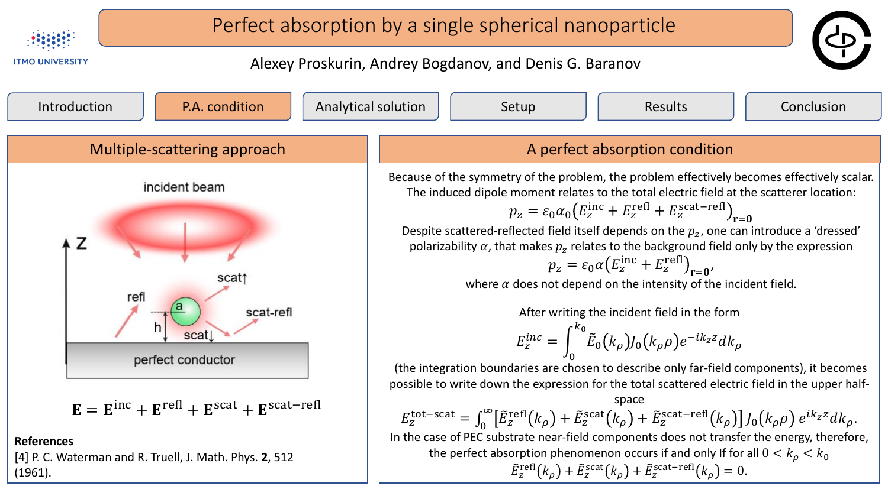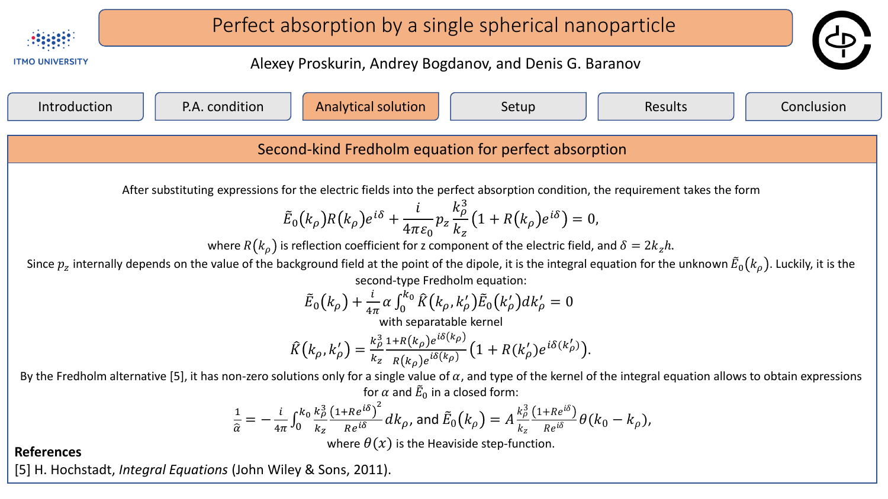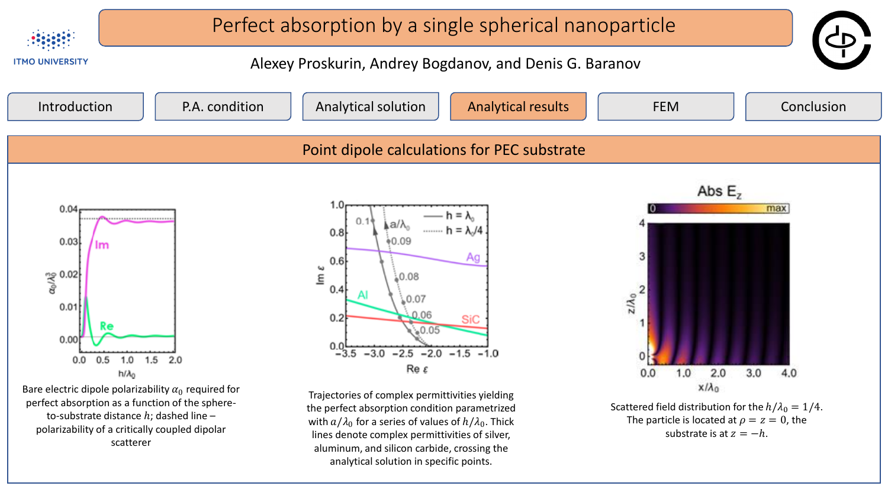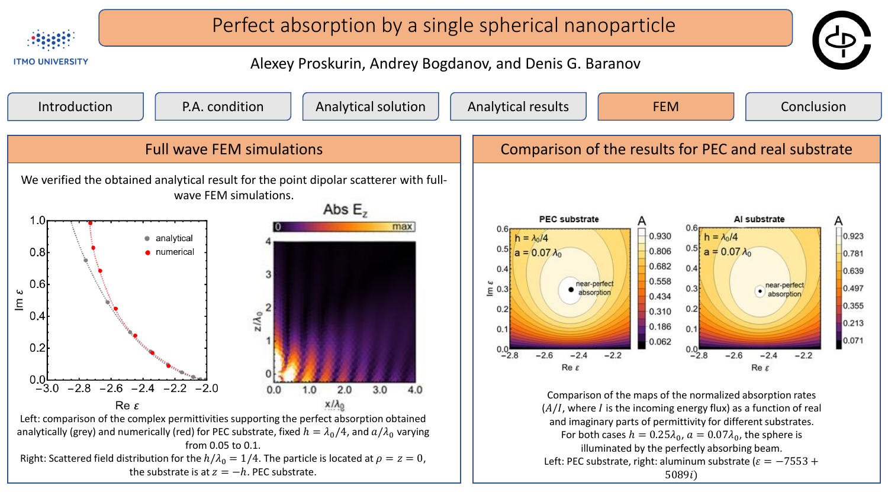